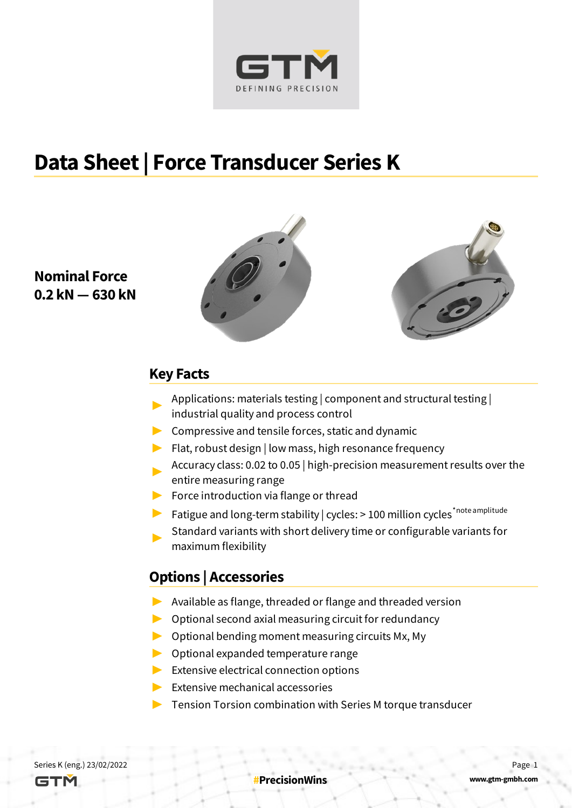

#### **Data Sheet | Force Transducer Series K**

#### **Nominal Force 0.2 kN — 630 kN**





#### **Key Facts**

- ▶ Applications: materials testing | component and structural testing | industrial quality and process control
- $\triangleright$  Compressive and tensile forces, static and dynamic
- $\blacktriangleright$  Flat, robust design | low mass, high resonance frequency
- Accuracy class: 0.02 to 0.05 | high-precision measurement results over the entire measuring range
- ▶ Force introduction via flange or thread
- ▶ Fatigue and long-term stability | cycles: > 100 million cycles<sup>\*note amplitude</sup>
- ▶ Standard variants with short delivery time or configurable variants for maximum flexibility

#### **Options | Accessories**

- ▶ Available as flange, threaded or flange and threaded version
- $\triangleright$  Optional second axial measuring circuit for redundancy
- $\triangleright$  Optional bending moment measuring circuits Mx, My
- ▶ Optional expanded temperature range
- $\blacktriangleright$  Extensive electrical connection options
- ▶ Extensive mechanical accessories
- $\triangleright$  Tension Torsion combination with Series M torque transducer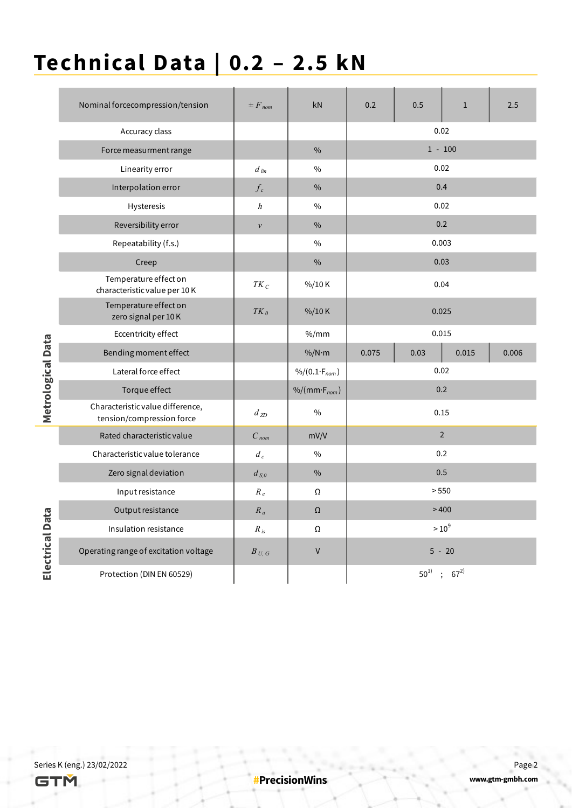# **Technical Data | 0.2 – 2.5 kN**

|                   | Nominal forcecompression/tension                              | $\pm F_{nom}$      | kN                               | 0.2     | 0.5      | $\mathbf{1}$   | 2.5   |  |  |  |
|-------------------|---------------------------------------------------------------|--------------------|----------------------------------|---------|----------|----------------|-------|--|--|--|
|                   | Accuracy class                                                |                    |                                  |         | 0.02     |                |       |  |  |  |
|                   | Force measurment range                                        |                    | $\frac{0}{0}$                    |         |          | $1 - 100$      |       |  |  |  |
|                   | Linearity error                                               | $d$ lin            | $\%$                             |         | 0.02     |                |       |  |  |  |
|                   | Interpolation error                                           | $f_c$              | $\%$                             |         |          | 0.4            |       |  |  |  |
|                   | <b>Hysteresis</b>                                             | h                  | $\%$                             | 0.02    |          |                |       |  |  |  |
|                   | Reversibility error                                           | $\boldsymbol{\nu}$ | $\frac{0}{0}$                    |         |          | 0.2            |       |  |  |  |
|                   | Repeatability (f.s.)                                          |                    | $\%$                             | 0.003   |          |                |       |  |  |  |
|                   | Creep                                                         |                    | $\%$                             | 0.03    |          |                |       |  |  |  |
|                   | Temperature effect on<br>characteristic value per 10K         | $TK_C$             | $\frac{9}{0}$ /10 K              | 0.04    |          |                |       |  |  |  |
|                   | Temperature effect on<br>zero signal per 10K                  | $TK_0$             | %/10K                            |         | 0.025    |                |       |  |  |  |
|                   | Eccentricity effect                                           |                    | $\%$ /mm                         |         | 0.015    |                |       |  |  |  |
|                   | Bending moment effect                                         |                    | $\%$ /N·m                        | 0.075   | 0.03     | 0.015          | 0.006 |  |  |  |
|                   | Lateral force effect                                          |                    | $\frac{9}{6}(0.1 \cdot F_{nom})$ |         |          |                |       |  |  |  |
|                   | Torque effect                                                 |                    | $%/(mm·F_{nom})$                 |         |          | 0.2            |       |  |  |  |
| Metrological Data | Characteristic value difference,<br>tension/compression force | $d_{ZD}$           | $\%$                             |         | 0.15     |                |       |  |  |  |
|                   | Rated characteristic value                                    | $C_{nom}$          | mV/V                             |         |          | $\overline{2}$ |       |  |  |  |
|                   | Characteristic value tolerance                                | $d_c$              | $\%$                             |         |          | 0.2            |       |  |  |  |
|                   | Zero signal deviation                                         | $d_{S,0}$          | $\%$                             |         |          | 0.5            |       |  |  |  |
|                   | Input resistance                                              | $R_e$              | Ω                                |         | > 550    |                |       |  |  |  |
|                   | Output resistance                                             | $R_a$              | $\Omega$                         | >400    |          |                |       |  |  |  |
|                   | Insulation resistance                                         | $R_{is}$           | Ω                                | $>10^9$ |          |                |       |  |  |  |
| Electrical Data   | Operating range of excitation voltage                         | $B_{U, G}$         | V                                |         |          | $5 - 20$       |       |  |  |  |
|                   | Protection (DIN EN 60529)                                     |                    |                                  |         | $50^{1}$ | $\pm 67^{2}$   |       |  |  |  |

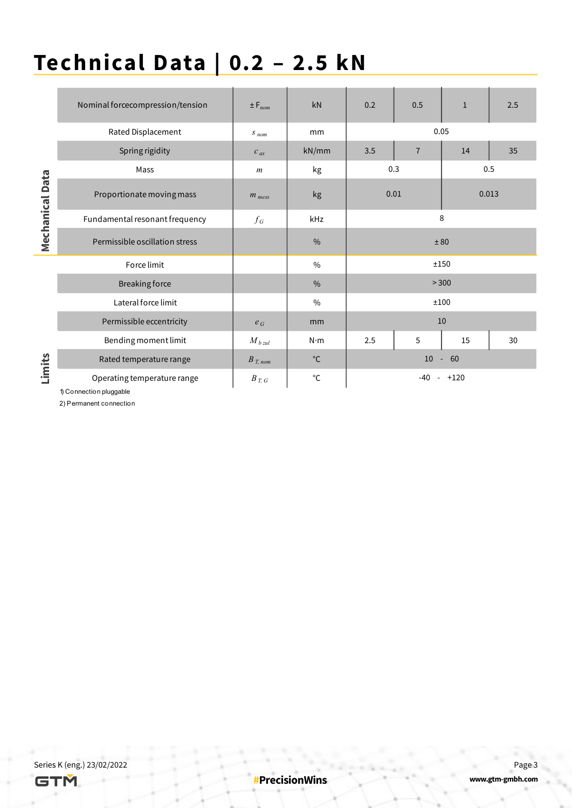## **Technical Data | 0.2 – 2.5 kN**

|                        | Nominal forcecompression/tension | $\pm F_{nom}$    | kN            | 0.2  | 0.5            | $\mathbf{1}$ | 2.5   |  |
|------------------------|----------------------------------|------------------|---------------|------|----------------|--------------|-------|--|
|                        | Rated Displacement               | $S_{nom}$        | mm            |      |                | 0.05         |       |  |
|                        | Spring rigidity                  | $c_{ax}$         | kN/mm         | 3.5  | $\overline{7}$ | 14           | 35    |  |
|                        | Mass                             | $\boldsymbol{m}$ | kg            | 0.3  |                | 0.5          |       |  |
| <b>Mechanical Data</b> | Proportionate moving mass        | $m_{mess}$       | kg            | 0.01 |                |              | 0.013 |  |
|                        | Fundamental resonant frequency   | $f_G$            | kHz           |      | 8              |              |       |  |
|                        | Permissible oscillation stress   |                  | $\%$          |      | ± 80           |              |       |  |
|                        | Force limit                      |                  | $\frac{0}{0}$ |      | ±150           |              |       |  |
|                        | Breaking force                   |                  | $\frac{0}{0}$ |      | > 300          |              |       |  |
|                        | Lateral force limit              |                  | $\frac{0}{0}$ |      | ±100           |              |       |  |
|                        | Permissible eccentricity         | $e_G$            | mm            |      |                | 10           |       |  |
|                        | Bending moment limit             | $M_{b\,zul}$     | $N \cdot m$   | 2.5  | 5              | 15           | 30    |  |
| Limits                 | Rated temperature range          | $B_{T, nom}$     | $^{\circ}$ C  |      | $10 - 60$      |              |       |  |
|                        | Operating temperature range      | $B_{T, G}$       | $^{\circ}$ C  |      | $-40$          | $- +120$     |       |  |

1) Connection pluggable

2) Permanent connection

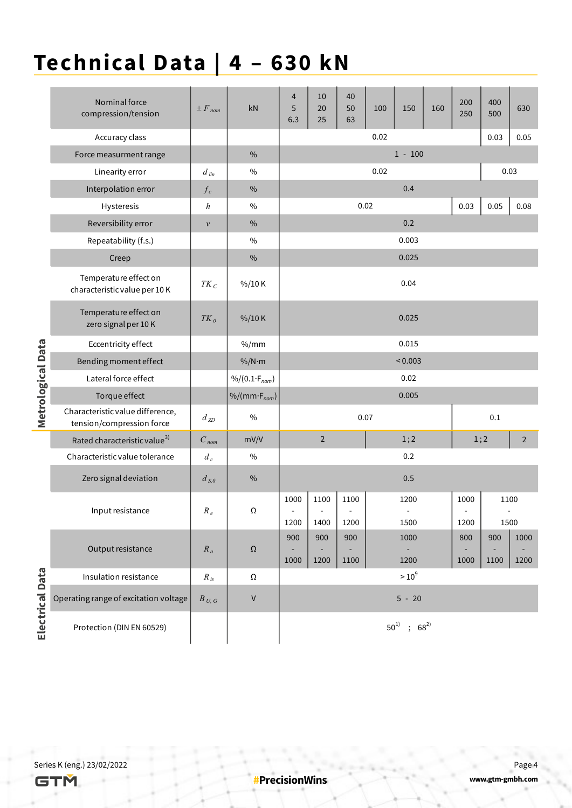### **Technical Data | 4 – 630 kN**

|                   | Nominal force<br>compression/tension                          | $\pm F_{nom}$      | kN                               | 4<br>5<br>6.3 | 10<br>20<br>25 | 40<br>50<br>63 | 100  | 150                   | 160 | 200<br>250 | 400<br>500 | 630            |  |  |
|-------------------|---------------------------------------------------------------|--------------------|----------------------------------|---------------|----------------|----------------|------|-----------------------|-----|------------|------------|----------------|--|--|
|                   | Accuracy class                                                |                    |                                  |               |                |                | 0.02 |                       |     |            | 0.03       | 0.05           |  |  |
|                   | Force measurment range                                        |                    | $\%$                             |               | $1 - 100$      |                |      |                       |     |            |            |                |  |  |
|                   | Linearity error                                               | $d$ lin            | $\%$                             |               |                |                | 0.02 |                       |     |            | 0.03       |                |  |  |
|                   | Interpolation error                                           | $f_c$              | %                                |               |                |                |      | 0.4                   |     |            |            |                |  |  |
|                   | Hysteresis                                                    | $\boldsymbol{h}$   | $\%$                             |               |                | 0.02           |      |                       |     | 0.03       | 0.05       | 0.08           |  |  |
|                   | Reversibility error                                           | $\boldsymbol{\nu}$ | $\%$                             | 0.2           |                |                |      |                       |     |            |            |                |  |  |
|                   | Repeatability (f.s.)                                          |                    | $\%$                             | 0.003         |                |                |      |                       |     |            |            |                |  |  |
|                   | Creep                                                         |                    | $\%$                             | 0.025         |                |                |      |                       |     |            |            |                |  |  |
|                   | Temperature effect on<br>characteristic value per 10K         | $TK_C$             | $\frac{0}{0}$ /10 K              |               | 0.04           |                |      |                       |     |            |            |                |  |  |
|                   | Temperature effect on<br>zero signal per 10K                  | $TK_0$             | $\frac{9}{0}$ /10 K              |               |                |                |      | 0.025                 |     |            |            |                |  |  |
|                   | Eccentricity effect                                           |                    | % /mm                            |               |                |                |      | 0.015                 |     |            |            |                |  |  |
|                   | Bending moment effect                                         |                    | $\%$ /N·m                        |               |                |                |      | < 0.003               |     |            |            |                |  |  |
|                   | Lateral force effect                                          |                    | $\frac{9}{6}(0.1 \cdot F_{nom})$ |               |                |                |      | 0.02                  |     |            |            |                |  |  |
|                   | Torque effect                                                 |                    | $\%/(mm \cdot F_{nom})$          | 0.005         |                |                |      |                       |     |            |            |                |  |  |
| Metrological Data | Characteristic value difference,<br>tension/compression force | $d_{ZD}$           | $\%$                             |               | 0.07           |                |      |                       |     |            | 0.1        |                |  |  |
|                   | Rated characteristic value <sup>3)</sup>                      | $C_{nom}$          | mV/V                             |               | $\overline{2}$ |                |      | 1;2                   |     | 1;2        |            | $\overline{2}$ |  |  |
|                   | Characteristic value tolerance                                | $d_c$              | $\%$                             |               |                |                |      | 0.2                   |     |            |            |                |  |  |
|                   | Zero signal deviation                                         | $d_{S,0}$          | $\%$                             |               |                |                |      | 0.5                   |     |            |            |                |  |  |
|                   |                                                               |                    |                                  | 1000          | 1100           | 1100           |      | 1200                  |     | 1000       | 1100       |                |  |  |
|                   | Input resistance                                              | $R_e$              | Ω                                | 1200          | 1400           | 1200           |      | 1500                  |     | 1200       | 1500       |                |  |  |
|                   |                                                               |                    |                                  | 900           | 900            | 900            |      | 1000                  |     | 800        | 900        | 1000           |  |  |
|                   | Output resistance                                             | $R_a$              | $\Omega$                         | 1000          | 1200           | 1100           |      | 1200                  |     | 1000       | 1100       | 1200           |  |  |
|                   | Insulation resistance                                         | $R_{is}$           | $\Omega$                         |               |                |                |      | $>10^9$               |     |            |            |                |  |  |
| Electrical Data   | Operating range of excitation voltage                         | $B_{U, G}$         | $\mathsf V$                      |               |                |                |      | $5 - 20$              |     |            |            |                |  |  |
|                   | Protection (DIN EN 60529)                                     |                    |                                  |               |                |                |      | $50^{1)}$ ; $68^{2)}$ |     |            |            |                |  |  |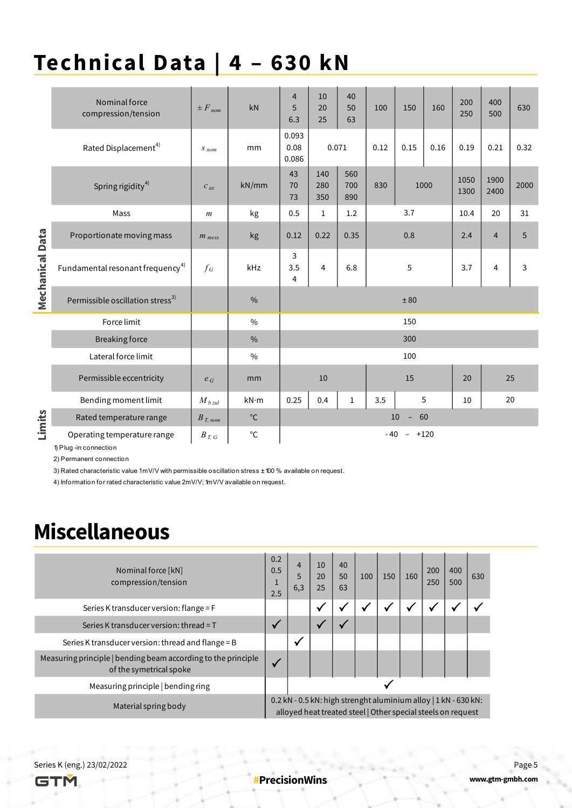#### **Technical Data | 4 – 630 kN**

|                        | Nominal force<br>compression/tension                                               | $\pm F_{nom}$      | kN            | 4<br>5<br>6.3                   | 10<br>20<br>25     | 40<br>50<br>63    | 100  | 150                                  | 160  | 200<br>250   | 400<br>500     | 630  |
|------------------------|------------------------------------------------------------------------------------|--------------------|---------------|---------------------------------|--------------------|-------------------|------|--------------------------------------|------|--------------|----------------|------|
|                        | Rated Displacement <sup>4)</sup>                                                   | $S_{\mathit{nom}}$ | mm            | 0.093<br>0.08<br>0.071<br>0.086 |                    | 0.12              | 0.15 | 0.16                                 | 0.19 | 0.21         | 0.32           |      |
|                        | Spring rigidity <sup>4)</sup>                                                      | $c_{ax}$           | kN/mm         | 43<br>70<br>73                  | 140<br>280<br>350  | 560<br>700<br>890 | 830  | 1000                                 |      | 1050<br>1300 | 1900<br>2400   | 2000 |
|                        | Mass                                                                               | $\boldsymbol{m}$   | kg            | 0.5                             | $\mathbf{1}$       | 1.2               |      | 3.7                                  |      | 10.4         | 20             | 31   |
| <b>Mechanical Data</b> | Proportionate moving mass                                                          | $m_{mess}$         | kg            | 0.12                            | 0.22               | 0.35              |      | 0.8                                  |      |              | $\overline{4}$ | 5    |
|                        | Fundamental resonant frequency <sup>4)</sup>                                       | $f_G$              | kHz           | 3<br>3.5<br>4                   | 4                  | 6.8               | 5    |                                      |      | 3.7          | 4              | 3    |
|                        | Permissible oscillation stress <sup>3)</sup>                                       |                    | $\frac{0}{0}$ | ± 80                            |                    |                   |      |                                      |      |              |                |      |
|                        | Force limit                                                                        |                    | $\frac{0}{0}$ |                                 |                    |                   |      | 150                                  |      |              |                |      |
|                        | <b>Breaking force</b>                                                              |                    | $\frac{0}{0}$ | 300                             |                    |                   |      |                                      |      |              |                |      |
|                        | Lateral force limit                                                                |                    | $\frac{0}{0}$ |                                 |                    |                   |      | 100                                  |      |              |                |      |
|                        | Permissible eccentricity                                                           | $e_G$              | mm            |                                 | 10                 |                   | 15   |                                      |      | 20           |                | 25   |
|                        | Bending moment limit                                                               | $M_{b\,zul}$       | kN·m          | 0.25                            | 0.4<br>$\mathbf 1$ |                   | 3.5  |                                      | 5    | 10           |                | 20   |
| Limits                 | Rated temperature range                                                            | $B_{T, nom}$       | $^{\circ}$ C  |                                 |                    |                   |      | 10<br>60<br>$\overline{\phantom{a}}$ |      |              |                |      |
|                        | $^{\circ}$ C<br>Operating temperature range<br>$B_{T, G}$<br>1) Plug-in connection |                    |               |                                 | $-40 - +120$       |                   |      |                                      |      |              |                |      |

2) Permanent connection

3) Rated characteristic value 1mV/V with permissible oscillation stress ± 100 % available on request.

4) Information for rated characteristic value 2mV/V; 1mV/V available on request.

#### **Miscellaneous**

| Nominal force [kN]<br>compression/tension                                                | 0.2<br>0.5<br>1<br>2.5                                                                                                            | $\overline{4}$<br>5<br>6,3 | 10<br>20<br>25 | 40<br>50<br>63 | 100                      | 150 | 160 | 200<br>250 | 400<br>500 | 630 |
|------------------------------------------------------------------------------------------|-----------------------------------------------------------------------------------------------------------------------------------|----------------------------|----------------|----------------|--------------------------|-----|-----|------------|------------|-----|
| Series K transducer version: flange = $F$                                                |                                                                                                                                   |                            | ✔              |                | $\overline{\phantom{a}}$ | v   |     | v          |            |     |
| Series K transducer version: thread = T                                                  |                                                                                                                                   |                            |                |                |                          |     |     |            |            |     |
| Series K transducer version: thread and flange = B                                       |                                                                                                                                   | √                          |                |                |                          |     |     |            |            |     |
| Measuring principle   bending beam according to the principle<br>of the symetrical spoke |                                                                                                                                   |                            |                |                |                          |     |     |            |            |     |
| Measuring principle   bending ring                                                       |                                                                                                                                   |                            |                |                |                          |     |     |            |            |     |
| Material spring body                                                                     | $0.2$ kN - 0.5 kN: high strenght aluminium alloy   1 kN - 630 kN:<br>alloyed heat treated steel   Other special steels on request |                            |                |                |                          |     |     |            |            |     |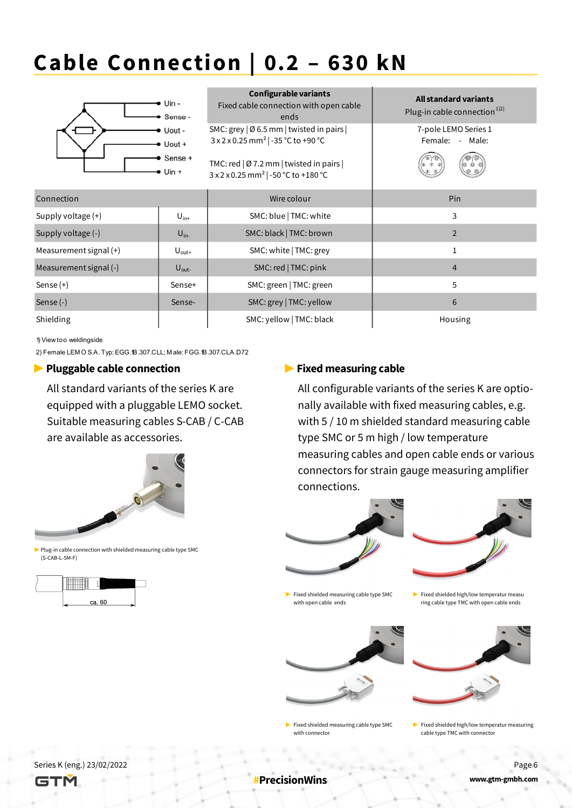# **Cable Connection | 0.2 – 630 kN**



1) View too weldingside

2) Female LEM O S.A. Typ: EGG.1B.307.CLL; M ale: FGG.1B.307.CLA.D72

#### ▶ **Pluggable cable connection**

All standard variants of the series K are equipped with a pluggable LEMO socket. Suitable measuring cables S-CAB / C-CAB are available as accessories.



▶ Plug-in cable connection with shielded measuring cable type SMC (S-CAB-L-5M-F)



#### **▶ Fixed measuring cable**

All configurable variants of the series K are optionally available with fixed measuring cables, e.g. with 5 / 10 m shielded standard measuring cable type SMC or 5 m high / low temperature measuring cables and open cable ends or various connectors for strain gauge measuring amplifier connections.



▶ Fixed shielded measuring cable type SMC with open cable ends



▶ Fixed shielded measuring cable type SMC with connector

▶ Fixed shielded high/low temperatur measu ring cable type TMC with open cable ends



 $\blacktriangleright$  Fixed shielded high/low temperatur measuring cable type TMC with connector



**#PrecisionWins**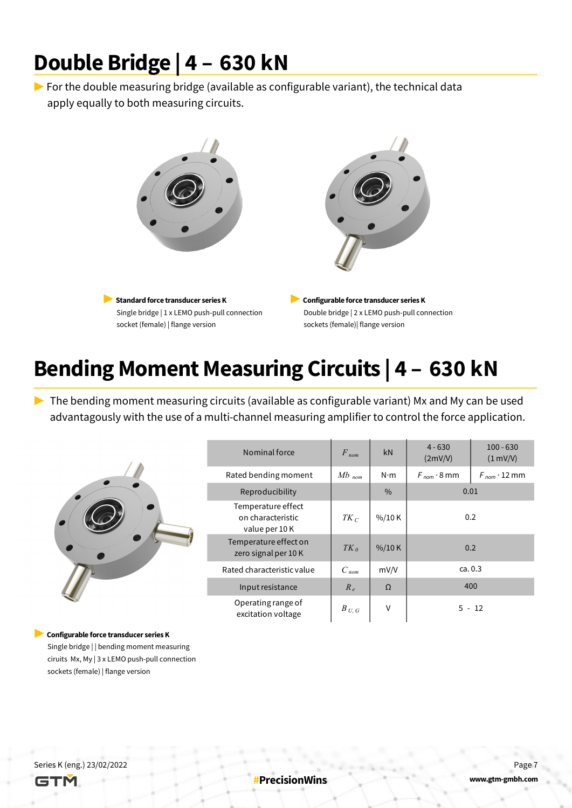#### **Double Bridge | 4 – 630 kN**

 $\triangleright$  For the double measuring bridge (available as configurable variant), the technical data apply equally to both measuring circuits.



# **Bending Moment Measuring Circuits | 4 – 630 kN**

▶ The bending moment measuring circuits (available as configurable variant) Mx and My can be used advantagously with the use of a multi-channel measuring amplifier to control the force application.

|           | Nominal force                                            | $F_{nom}$             | kN                | $4 - 630$<br>(2mV/V) | $100 - 630$<br>(1 mV/V) |  |
|-----------|----------------------------------------------------------|-----------------------|-------------------|----------------------|-------------------------|--|
| $\bullet$ | Rated bending moment                                     | $Mb$ <sub>nom</sub>   | $N \cdot m$       | $F_{nom} \cdot 8$ mm | $F_{nom} \cdot 12$ mm   |  |
|           | Reproducibility                                          | 0.01<br>$\frac{0}{0}$ |                   |                      |                         |  |
|           | Temperature effect<br>on characteristic<br>value per 10K | $TK_C$                | 0.2               |                      |                         |  |
|           | Temperature effect on<br>zero signal per 10K             | $TK_{\theta}$         | $\frac{\%}{10}$ K | 0.2                  |                         |  |
|           | Rated characteristic value                               | $C_{nom}$             | mV/V              | ca. 0.3              |                         |  |
|           | Input resistance                                         | $R_e$                 | $\Omega$          |                      | 400                     |  |
|           | Operating range of<br>excitation voltage                 | $B$ $_{U,\;G}$        | V                 |                      | $5 - 12$                |  |

▶ **Configurable force transducer series K** 

Single bridge | | bending moment measuring ciruits Mx, My | 3 x LEMO push-pull connection sockets (female) | flange version

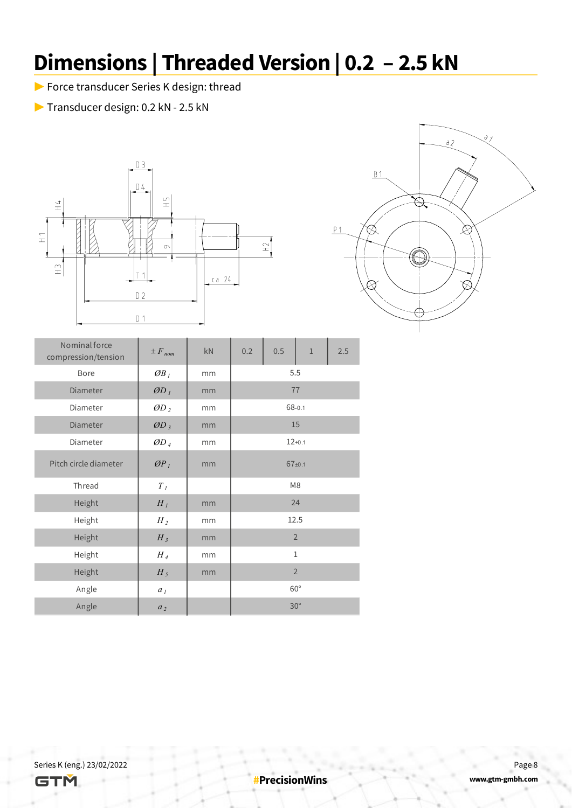# **Dimensions | Threaded Version | 0.2 – 2.5 kN**

- ▶ Force transducer Series K design: thread
- ▶ Transducer design: 0.2 kN 2.5 kN





| Nominal force<br>compression/tension | $\pm F_{nom}$              | kN | 0.2            | 0.5 | $1\,$          | 2.5 |  |
|--------------------------------------|----------------------------|----|----------------|-----|----------------|-----|--|
| Bore                                 | OB <sub>1</sub>            | mm | 5.5            |     |                |     |  |
| Diameter                             | $\mathcal{O}D_I$           | mm | 77             |     |                |     |  |
| Diameter                             | $\mathcal{O}D_2$           | mm | 68-0.1         |     |                |     |  |
| Diameter                             | $\mathcal{O}D_3$           | mm | 15             |     |                |     |  |
| Diameter                             | $\emptyset$ D <sub>4</sub> | mm | $12+0.1$       |     |                |     |  |
| Pitch circle diameter                | $\mathcal{P}_l$            | mm | $67+0.1$       |     |                |     |  |
| Thread                               | $T_I$                      |    | M <sub>8</sub> |     |                |     |  |
| Height                               | $H_I$                      | mm |                |     | 24             |     |  |
| Height                               | $H_2$                      | mm |                |     | 12.5           |     |  |
| Height                               | $H_3$                      | mm |                |     | $\overline{2}$ |     |  |
| Height                               | $H_4$                      | mm |                |     | $\mathbf{1}$   |     |  |
| Height                               | $H_5$                      | mm |                |     | $\overline{2}$ |     |  |
| Angle                                | a <sub>1</sub>             |    |                |     | $60^{\circ}$   |     |  |
| Angle                                | a <sub>2</sub>             |    |                |     | $30^{\circ}$   |     |  |

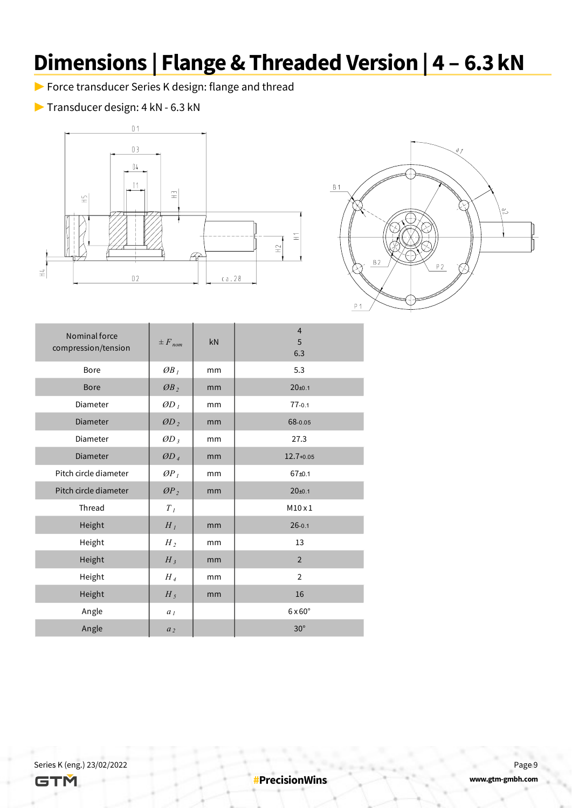### **Dimensions | Flange & Threaded Version | 4 – 6.3 kN**

▶ Force transducer Series K design: flange and thread

▶ Transducer design: 4 kN - 6.3 kN





| Nominal force<br>compression/tension | $\pm F_{nom}$               | kN | $\overline{4}$<br>5<br>6.3 |
|--------------------------------------|-----------------------------|----|----------------------------|
| <b>Bore</b>                          | $\mathcal{O}B$ <sub>1</sub> | mm | 5.3                        |
| <b>Bore</b>                          | OB <sub>2</sub>             | mm | $20+0.1$                   |
| Diameter                             | $\mathcal{O}D_l$            | mm | $77 - 0.1$                 |
| <b>Diameter</b>                      | $ØD_2$                      | mm | 68-0.05                    |
| Diameter                             | $OD_3$                      | mm | 27.3                       |
| <b>Diameter</b>                      | ØD <sub>4</sub>             | mm | $12.7 + 0.05$              |
| Pitch circle diameter                | $\mathcal{O}P_I$            | mm | $67+0.1$                   |
| Pitch circle diameter                | OP <sub>2</sub>             | mm | 20 <sub>±0.1</sub>         |
| Thread                               | $\boldsymbol{T}_I$          |    | $M10 \times 1$             |
| Height                               | $H_I$                       | mm | $26 - 0.1$                 |
| Height                               | $H_2$                       | mm | 13                         |
| Height                               | $H_3$                       | mm | $\overline{2}$             |
| Height                               | $H_4$                       | mm | $\overline{2}$             |
| Height                               | $H_5$                       | mm | 16                         |
| Angle                                | a <sub>1</sub>              |    | $6 \times 60^\circ$        |
| Angle                                | a <sub>2</sub>              |    | $30^\circ$                 |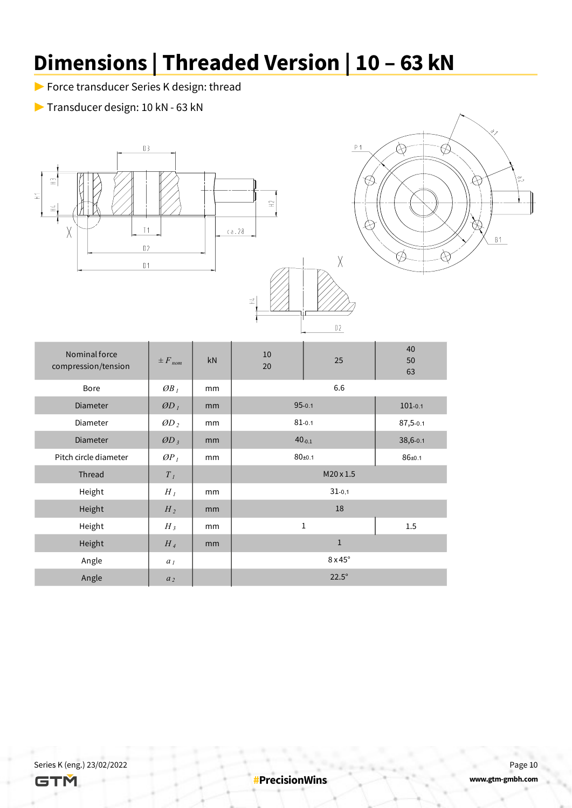# **Dimensions | Threaded Version | 10 – 63 kN**

- ▶ Force transducer Series K design: thread
- ▶ Transducer design: 10 kN 63 kN





| Nominal force<br>compression/tension | $\pm F_{nom}$    | kN | 10<br>20         | 25                  | 40<br>50<br>63 |  |  |
|--------------------------------------|------------------|----|------------------|---------------------|----------------|--|--|
| Bore                                 | $\mathcal{O}B_I$ | mm |                  |                     |                |  |  |
| Diameter                             | $\emptyset D_l$  | mm |                  | $95 - 0.1$          | $101 - 0.1$    |  |  |
| Diameter                             | $\mathcal{O}D_2$ | mm | $81 - 0.1$       | 87,5-0.1            |                |  |  |
| Diameter                             | $\mathcal{O}D_3$ | mm | $40_{-0.1}$      | 38,6-0.1            |                |  |  |
| Pitch circle diameter                | $\mathcal{O}P_I$ | mm | $80 + 0.1$       | $86 + 0.1$          |                |  |  |
| Thread                               | $T_I$            |    | $M20 \times 1.5$ |                     |                |  |  |
| Height                               | $H_I$            | mm |                  | $31 - 0,1$          |                |  |  |
| Height                               | $H_2$            | mm |                  | 18                  |                |  |  |
| Height                               | $H_3$            | mm |                  | $\mathbf{1}$        | 1.5            |  |  |
| Height                               | $H_4$            | mm |                  | $\mathbf{1}$        |                |  |  |
| Angle                                | a <sub>I</sub>   |    |                  | $8 \times 45^\circ$ |                |  |  |
| Angle                                | a <sub>2</sub>   |    | $22.5^\circ$     |                     |                |  |  |

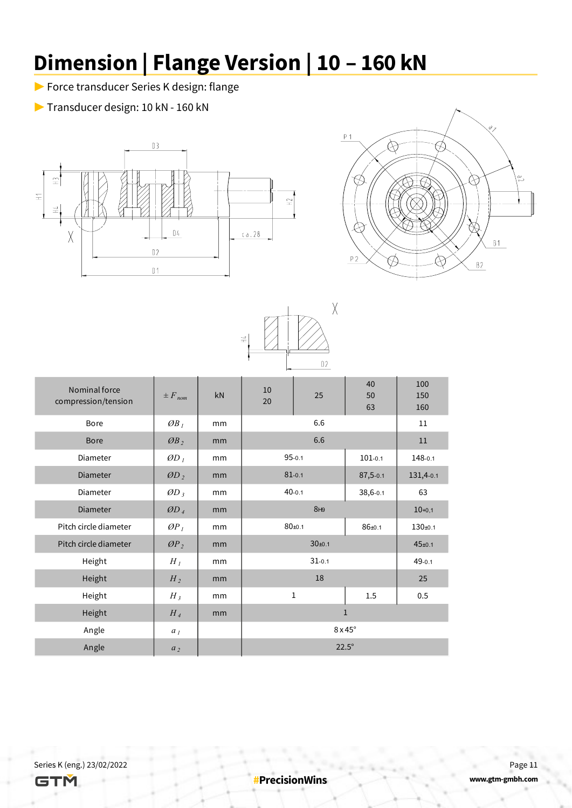# **Dimension | Flange Version | 10 – 160 kN**

- ▶ Force transducer Series K design: flange
- ▶ Transducer design: 10 kN 160 kN





|                                      |                            |    | 士<br>王     | $02\,$              |                |                   |  |
|--------------------------------------|----------------------------|----|------------|---------------------|----------------|-------------------|--|
| Nominal force<br>compression/tension | $\pm F_{nom}$              | kN | 10<br>20   | 25                  | 40<br>50<br>63 | 100<br>150<br>160 |  |
| Bore                                 | OB <sub>1</sub>            | mm |            | 6.6                 |                |                   |  |
| <b>Bore</b>                          | OB <sub>2</sub>            | mm |            | 6.6                 |                | 11                |  |
| <b>Diameter</b>                      | $\mathcal{O}D_l$           | mm |            | $95 - 0.1$          | $101 - 0.1$    | 148-0.1           |  |
| <b>Diameter</b>                      | $OD_2$                     | mm | $81 - 0.1$ |                     | 87,5-0.1       | 131,4-0.1         |  |
| Diameter                             | $\mathcal{O}D_3$           | mm |            | $40 - 0.1$          | 38,6-0.1       | 63                |  |
| Diameter                             | $\emptyset$ D <sub>4</sub> | mm |            | 8H9                 |                | $10+0,1$          |  |
| Pitch circle diameter                | OP <sub>1</sub>            | mm |            | $80+0.1$            | $86 + 0.1$     | $130 + 0.1$       |  |
| Pitch circle diameter                | OP <sub>2</sub>            | mm |            | $30 + 0.1$          |                | $45 + 0.1$        |  |
| Height                               | $H_I$                      | mm |            | $31 - 0.1$          |                | $49 - 0.1$        |  |
| Height                               | $H_2$                      | mm |            | 18                  |                | 25                |  |
| Height                               | $H_3$                      | mm |            | 1                   | 1.5            | 0.5               |  |
| Height                               | $H_4$                      | mm |            |                     | $1\,$          |                   |  |
| Angle                                | a <sub>1</sub>             |    |            | $8 \times 45^\circ$ |                |                   |  |
| Angle                                | a <sub>2</sub>             |    |            | $22.5^\circ$        |                |                   |  |

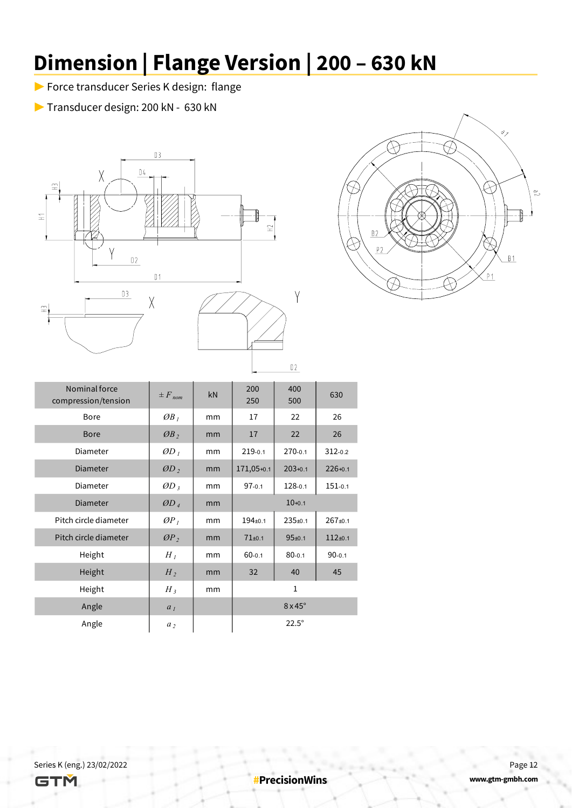# **Dimension | Flange Version | 200 – 630 kN**

- ▶ Force transducer Series K design: flange
- ▶ Transducer design: 200 kN 630 kN





Series K (eng.) 23/02/2022 Page 12

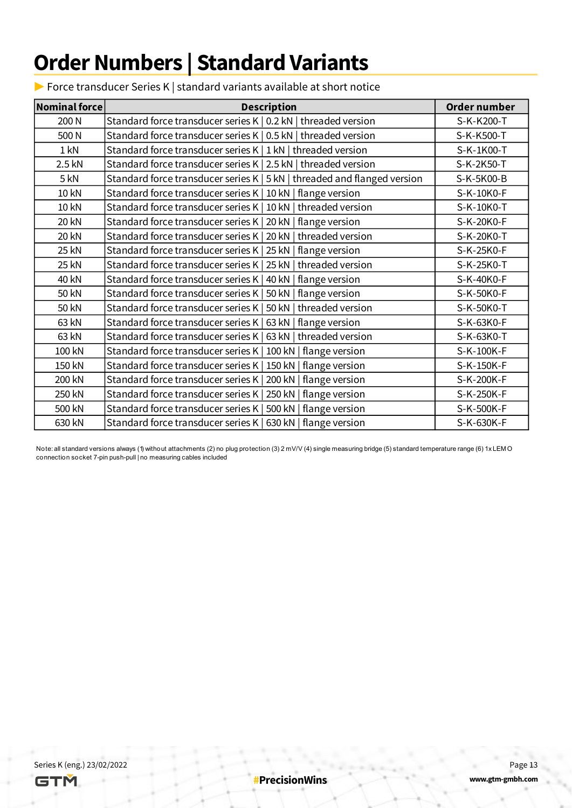## **Order Numbers | Standard Variants**

 $\triangleright$  Force transducer Series K | standard variants available at short notice

| Nominal force | <b>Description</b>                                                       | Order number |
|---------------|--------------------------------------------------------------------------|--------------|
| 200 N         | Standard force transducer series K   0.2 kN   threaded version           | S-K-K200-T   |
| 500 N         | Standard force transducer series K   0.5 kN   threaded version           | S-K-K500-T   |
| $1$ kN        | Standard force transducer series K   1 kN   threaded version             | S-K-1K00-T   |
| 2.5 kN        | Standard force transducer series K   2.5 kN   threaded version           | S-K-2K50-T   |
| 5 kN          | Standard force transducer series K   5 kN   threaded and flanged version | S-K-5K00-B   |
| 10 kN         | Standard force transducer series K   10 kN   flange version              | S-K-10K0-F   |
| 10 kN         | Standard force transducer series K   10 kN   threaded version            | S-K-10K0-T   |
| 20 kN         | Standard force transducer series K   20 kN   flange version              | S-K-20K0-F   |
| 20 kN         | Standard force transducer series K   20 kN   threaded version            | S-K-20K0-T   |
| 25 kN         | Standard force transducer series K   25 kN   flange version              | S-K-25K0-F   |
| 25 kN         | Standard force transducer series K   25 kN   threaded version            | S-K-25K0-T   |
| 40 kN         | Standard force transducer series K   40 kN   flange version              | S-K-40K0-F   |
| 50 kN         | Standard force transducer series K   50 kN   flange version              | S-K-50K0-F   |
| 50 kN         | Standard force transducer series K   50 kN   threaded version            | S-K-50K0-T   |
| 63 kN         | Standard force transducer series K   63 kN   flange version              | S-K-63K0-F   |
| 63 kN         | Standard force transducer series K   63 kN   threaded version            | S-K-63K0-T   |
| 100 kN        | Standard force transducer series K   100 kN   flange version             | S-K-100K-F   |
| 150 kN        | Standard force transducer series K   150 kN   flange version             | S-K-150K-F   |
| 200 kN        | Standard force transducer series K   200 kN   flange version             | S-K-200K-F   |
| 250 kN        | Standard force transducer series K   250 kN   flange version             | S-K-250K-F   |
| 500 kN        | Standard force transducer series K   500 kN   flange version             | S-K-500K-F   |
| 630 kN        | Standard force transducer series K   630 kN   flange version             | S-K-630K-F   |

Note: all standard versions always (1) without attachments (2) no plug protection (3) 2 mV/V (4) single measuring bridge (5) standard temperature range (6) 1xLEM O connection socket 7-pin push-pull | no measuring cables included 

Series K (eng.) 23/02/2022 Page 13

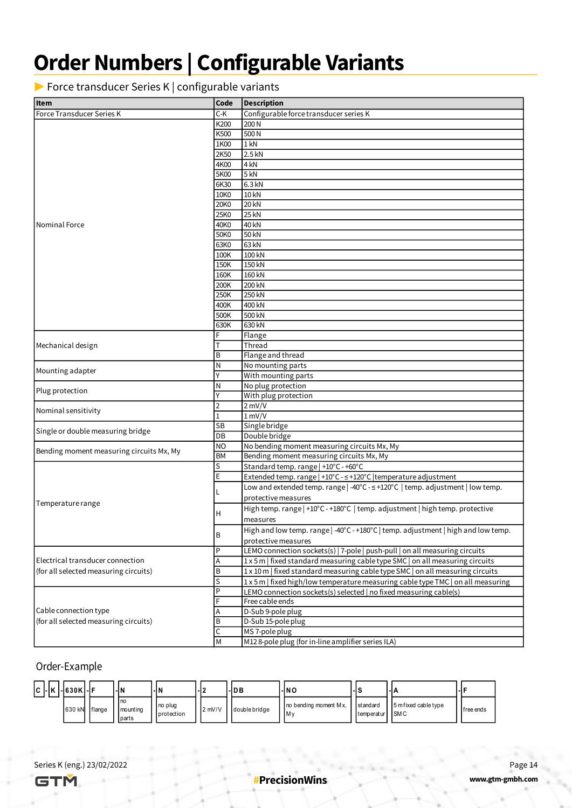## **Order Numbers | Configurable Variants**

▶ Force transducer Series K | configurable variants

| <b>Item</b>                              | Code           | <b>Description</b>                                                                |
|------------------------------------------|----------------|-----------------------------------------------------------------------------------|
| Force Transducer Series K                | C-K            | Configurable force transducer series K                                            |
|                                          | K200           | 200 N                                                                             |
|                                          | K500           | 500N                                                                              |
|                                          | 1K00           | $1$ kN                                                                            |
|                                          | 2K50           | 2.5 kN                                                                            |
|                                          | 4K00           | 4 kN                                                                              |
|                                          | 5K00           | 5 kN                                                                              |
|                                          | 6K30           | 6.3 kN                                                                            |
|                                          | 10K0           | 10 kN                                                                             |
|                                          | 20K0           | <b>20 kN</b>                                                                      |
|                                          | 25K0           | <b>25 kN</b>                                                                      |
| Nominal Force                            | 40K0           | 40 kN                                                                             |
|                                          | 50K0           | 50 kN                                                                             |
|                                          | 63K0           | 63 kN                                                                             |
|                                          | 100K           | 100 kN                                                                            |
|                                          | 150K           | 150 kN                                                                            |
|                                          | 160K           | 160 kN                                                                            |
|                                          | 200K           | 200 kN                                                                            |
|                                          | 250K           | 250 kN                                                                            |
|                                          | 400K           | 400 kN                                                                            |
|                                          | 500K           | 500 kN                                                                            |
|                                          | 630K           | 630 kN                                                                            |
|                                          | F              | Flange                                                                            |
| Mechanical design                        | Т              | Thread                                                                            |
|                                          | B              | Flange and thread                                                                 |
|                                          | N              | No mounting parts                                                                 |
| Mounting adapter                         | Y              | With mounting parts                                                               |
|                                          | N              | No plug protection                                                                |
| Plug protection                          | ΙY             | With plug protection                                                              |
|                                          | $\overline{2}$ | $2$ mV/V                                                                          |
| Nominal sensitivity                      | $\overline{1}$ | $1 \text{ mV/V}$                                                                  |
|                                          | SB             | Single bridge                                                                     |
| Single or double measuring bridge        | DB             | Double bridge                                                                     |
| Bending moment measuring circuits Mx, My | NO             | No bending moment measuring circuits Mx, My                                       |
|                                          | <b>BM</b>      | Bending moment measuring circuits Mx, My                                          |
|                                          | S              | Standard temp. range   +10°C - +60°C                                              |
|                                          | E              | Extended temp. range   +10°C - ≤ +120°C   temperature adjustment                  |
|                                          |                | Low and extended temp. range   -40°C - ≤ +120°C   temp. adjustment   low temp.    |
|                                          |                | protective measures                                                               |
| Temperature range                        |                | High temp. range   +10°C - +180°C   temp. adjustment   high temp. protective      |
|                                          | H              | measures                                                                          |
|                                          |                | High and low temp. range   -40°C - +180°C   temp. adjustment   high and low temp. |
|                                          | B              | protective measures                                                               |
|                                          | $\mathsf P$    | LEMO connection sockets(s)   7-pole   push-pull   on all measuring circuits       |
| Electrical transducer connection         | A              | 1x5m   fixed standard measuring cable type SMC   on all measuring circuits        |
| (for all selected measuring circuits)    | B              | 1 x 10 m   fixed standard measuring cable type SMC   on all measuring circuits    |
|                                          | $\vert$ S      | 1 x 5 m   fixed high/low temperature measuring cable type TMC   on all measuring  |
|                                          | P              | LEMO connection sockets(s) selected   no fixed measuring cable(s)                 |
|                                          | F              | Free cable ends                                                                   |
| Cable connection type                    | Α              | D-Sub 9-pole plug                                                                 |
| (for all selected measuring circuits)    | B              | D-Sub 15-pole plug                                                                |
|                                          | C              | MS 7-pole plug                                                                    |
|                                          | M              | M128-pole plug (for in-line amplifier series ILA)                                 |

#### Order-Example

| IC I | - K  - 630K - F | -IN                                       | l-IN                  |           | -IDB          | - NO                           |                            | -11                  |            |
|------|-----------------|-------------------------------------------|-----------------------|-----------|---------------|--------------------------------|----------------------------|----------------------|------------|
|      | 630 kN flange   | l no<br><b>mounting</b><br><b>I</b> parts | no plug<br>protection | $12$ mV/V | double bridge | no bending moment Mx,<br>l M v | standard<br>temperatur SMC | 5 m fixed cable type | Ifree ends |

Series K (eng.) 23/02/2022 Page 14

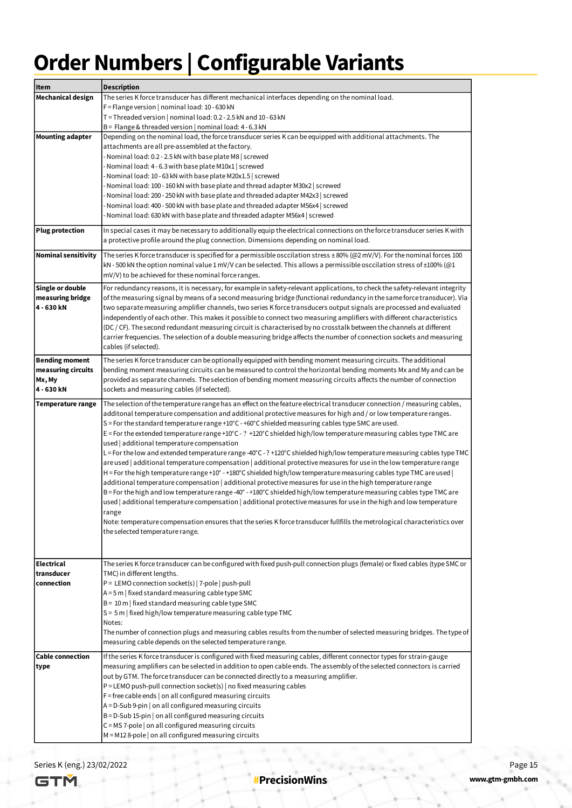# **Order Numbers | Configurable Variants**

| Item                       | <b>Description</b>                                                                                                                                                                                                                             |
|----------------------------|------------------------------------------------------------------------------------------------------------------------------------------------------------------------------------------------------------------------------------------------|
| Mechanical design          | The series K force transducer has different mechanical interfaces depending on the nominal load.                                                                                                                                               |
|                            | $F =$ Flange version   nominal load: 10 - 630 kN                                                                                                                                                                                               |
|                            | T = Threaded version   nominal load: 0.2 - 2.5 kN and 10 - 63 kN                                                                                                                                                                               |
|                            | B = Flange & threaded version   nominal load: 4 - 6.3 kN                                                                                                                                                                                       |
| <b>Mounting adapter</b>    | Depending on the nominal load, the force transducer series K can be equipped with additional attachments. The                                                                                                                                  |
|                            | attachments are all pre-assembled at the factory.                                                                                                                                                                                              |
|                            | - Nominal load: 0.2 - 2.5 kN with base plate M8   screwed                                                                                                                                                                                      |
|                            | Nominal load: 4 - 6.3 with base plate M10x1   screwed \                                                                                                                                                                                        |
|                            | Nominal load: 10 - 63 kN with base plate M20x1.5   screwed ›                                                                                                                                                                                   |
|                            | Nominal load: 100 - 160 kN with base plate and thread adapter M30x2   screwed                                                                                                                                                                  |
|                            | Nominal load: 200 - 250 kN with base plate and threaded adapter M42x3   screwed                                                                                                                                                                |
|                            | Nominal load: 400 - 500 kN with base plate and threaded adapter M56x4   screwed                                                                                                                                                                |
|                            | Nominal load: 630 kN with base plate and threaded adapter M56x4   screwed                                                                                                                                                                      |
| <b>Plug protection</b>     | In special cases it may be necessary to additionally equip the electrical connections on the force transducer series K with                                                                                                                    |
|                            | a protective profile around the plug connection. Dimensions depending on nominal load.                                                                                                                                                         |
| <b>Nominal sensitivity</b> | The series K force transducer is specified for a permissible osccilation stress ±80% (@2 mV/V). For the nominal forces 100                                                                                                                     |
|                            | kN - 500 kN the option nominal value 1 mV/V can be selected. This allows a permissible osccilation stress of $\pm 100\%$ (@1                                                                                                                   |
|                            | mV/V) to be achieved for these nominal force ranges.                                                                                                                                                                                           |
|                            |                                                                                                                                                                                                                                                |
| <b>Single or double</b>    | For redundancy reasons, it is necessary, for example in safety-relevant applications, to check the safety-relevant integrity                                                                                                                   |
| measuring bridge           | of the measuring signal by means of a second measuring bridge (functional redundancy in the same force transducer). Via                                                                                                                        |
| 4 - 630 kN                 | two separate measuring amplifier channels, two series K force transducers output signals are processed and evaluated                                                                                                                           |
|                            | independently of each other. This makes it possible to connect two measuring amplifiers with different characteristics<br>(DC / CF). The second redundant measuring circuit is characterised by no crosstalk between the channels at different |
|                            | carrier frequencies. The selection of a double measuring bridge affects the number of connection sockets and measuring                                                                                                                         |
|                            | cables (if selected).                                                                                                                                                                                                                          |
|                            |                                                                                                                                                                                                                                                |
| <b>Bending moment</b>      | The series K force transducer can be optionally equipped with bending moment measuring circuits. The additional                                                                                                                                |
| measuring circuits         | bending moment measuring circuits can be measured to control the horizontal bending moments Mx and My and can be                                                                                                                               |
| Mx, My                     | provided as separate channels. The selection of bending moment measuring circuits affects the number of connection                                                                                                                             |
| 4 - 630 kN                 | sockets and measuring cables (if selected).                                                                                                                                                                                                    |
| Temperature range          | The selection of the temperature range has an effect on the feature electrical transducer connection / measuring cables,                                                                                                                       |
|                            | additonal temperature compensation and additional protective measures for high and / or low temperature ranges.                                                                                                                                |
|                            | $S$ = For the standard temperature range +10°C - +60°C shielded measuring cables type SMC are used.                                                                                                                                            |
|                            | E = For the extended temperature range +10°C - ? +120°C shielded high/low temperature measuring cables type TMC are                                                                                                                            |
|                            | used additional temperature compensation                                                                                                                                                                                                       |
|                            | L = For the low and extended temperature range -40°C - ? +120°C shielded high/low temperature measuring cables type TMC                                                                                                                        |
|                            | are used   additional temperature compensation   additional protective measures for use in the low temperature range                                                                                                                           |
|                            | H = For the high temperature range +10° - +180°C shielded high/low temperature measuring cables type TMC are used                                                                                                                              |
|                            | additional temperature compensation   additional protective measures for use in the high temperature range<br>B = For the high and low temperature range -40° - +180°C shielded high/low temperature measuring cables type TMC are             |
|                            | used   additional temperature compensation   additional protective measures for use in the high and low temperature                                                                                                                            |
|                            | range                                                                                                                                                                                                                                          |
|                            | Note: temperature compensation ensures that the series K force transducer fullfills the metrological characteristics over                                                                                                                      |
|                            | the selected temperature range.                                                                                                                                                                                                                |
|                            |                                                                                                                                                                                                                                                |
|                            |                                                                                                                                                                                                                                                |
| <b>Electrical</b>          | The series K force transducer can be configured with fixed push-pull connection plugs (female) or fixed cables (type SMC or                                                                                                                    |
| transducer                 | TMC) in different lengths.                                                                                                                                                                                                                     |
| connection                 | P = LEMO connection socket(s)   7-pole   push-pull                                                                                                                                                                                             |
|                            | $A = 5m$   fixed standard measuring cable type SMC                                                                                                                                                                                             |
|                            | $B = 10$ m   fixed standard measuring cable type SMC                                                                                                                                                                                           |
|                            | $S = 5$ m   fixed high/low temperature measuring cable type TMC                                                                                                                                                                                |
|                            | Notes:                                                                                                                                                                                                                                         |
|                            | The number of connection plugs and measuring cables results from the number of selected measuring bridges. The type of                                                                                                                         |
|                            | measuring cable depends on the selected temperature range.                                                                                                                                                                                     |
| <b>Cable connection</b>    | If the series K force transducer is configured with fixed measuring cables, different connector types for strain-gauge                                                                                                                         |
| type                       | measuring amplifiers can be selected in addition to open cable ends. The assembly of the selected connectors is carried                                                                                                                        |
|                            | out by GTM. The force transducer can be connected directly to a measuring amplifier.                                                                                                                                                           |
|                            | $P = LEMO$ push-pull connection socket(s)   no fixed measuring cables                                                                                                                                                                          |
|                            | $F =$ free cable ends   on all configured measuring circuits                                                                                                                                                                                   |
|                            | $A = D-Sub 9$ -pin   on all configured measuring circuits                                                                                                                                                                                      |
|                            | $B = D-Sub 15$ -pin   on all configured measuring circuits                                                                                                                                                                                     |
|                            | $C = MS$ 7-pole   on all configured measuring circuits                                                                                                                                                                                         |
|                            | $M = M128-pole$ on all configured measuring circuits                                                                                                                                                                                           |

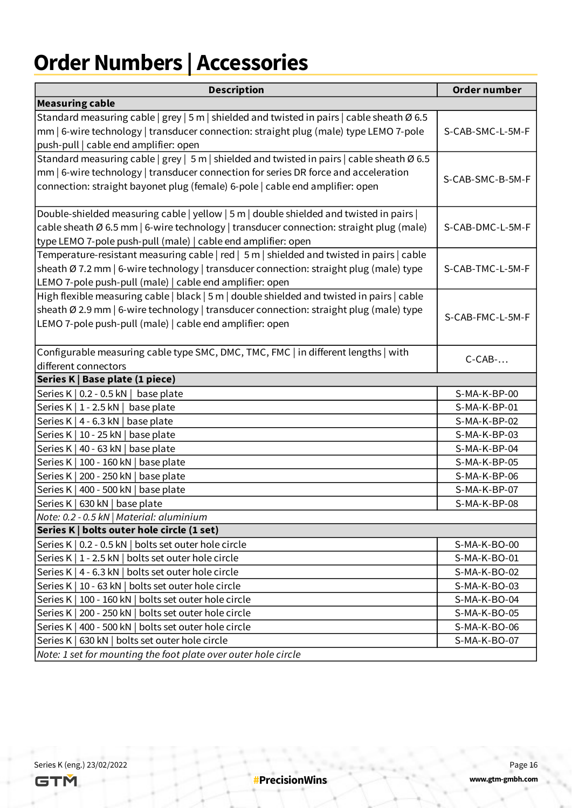# **Order Numbers | Accessories**

| <b>Description</b>                                                                                                                                                                                                                                                           | Order number                 |
|------------------------------------------------------------------------------------------------------------------------------------------------------------------------------------------------------------------------------------------------------------------------------|------------------------------|
| <b>Measuring cable</b>                                                                                                                                                                                                                                                       |                              |
| Standard measuring cable   grey   5 m   shielded and twisted in pairs   cable sheath $\varnothing$ 6.5<br>mm   6-wire technology   transducer connection: straight plug (male) type LEMO 7-pole<br>push-pull   cable end amplifier: open                                     | S-CAB-SMC-L-5M-F             |
| Standard measuring cable   grey   5 m   shielded and twisted in pairs   cable sheath $\emptyset$ 6.5<br>mm   6-wire technology   transducer connection for series DR force and acceleration<br>connection: straight bayonet plug (female) 6-pole   cable end amplifier: open | S-CAB-SMC-B-5M-F             |
| Double-shielded measuring cable   yellow   5 m   double shielded and twisted in pairs  <br>cable sheath Ø 6.5 mm   6-wire technology   transducer connection: straight plug (male)<br>type LEMO 7-pole push-pull (male)   cable end amplifier: open                          | S-CAB-DMC-L-5M-F             |
| Temperature-resistant measuring cable   red   5 m   shielded and twisted in pairs   cable<br>sheath Ø 7.2 mm   6-wire technology   transducer connection: straight plug (male) type<br>LEMO 7-pole push-pull (male)   cable end amplifier: open                              | S-CAB-TMC-L-5M-F             |
| High flexible measuring cable   black   5 m   double shielded and twisted in pairs   cable<br>sheath Ø 2.9 mm   6-wire technology   transducer connection: straight plug (male) type<br>LEMO 7-pole push-pull (male)   cable end amplifier: open                             | S-CAB-FMC-L-5M-F             |
| Configurable measuring cable type SMC, DMC, TMC, FMC   in different lengths   with<br>different connectors                                                                                                                                                                   | $C-CAB$ -                    |
| Series K   Base plate (1 piece)                                                                                                                                                                                                                                              |                              |
| Series K   0.2 - 0.5 kN   base plate                                                                                                                                                                                                                                         | S-MA-K-BP-00                 |
| Series K   1 - 2.5 kN  <br>base plate                                                                                                                                                                                                                                        | S-MA-K-BP-01                 |
| Series K   4 - 6.3 kN   base plate                                                                                                                                                                                                                                           | S-MA-K-BP-02                 |
| Series K   10 - 25 kN   base plate                                                                                                                                                                                                                                           | S-MA-K-BP-03                 |
| Series K   40 - 63 kN   base plate                                                                                                                                                                                                                                           | S-MA-K-BP-04                 |
| Series K   100 - 160 kN   base plate                                                                                                                                                                                                                                         | S-MA-K-BP-05                 |
| Series K   200 - 250 kN   base plate                                                                                                                                                                                                                                         | S-MA-K-BP-06                 |
| Series K   400 - 500 kN   base plate                                                                                                                                                                                                                                         | S-MA-K-BP-07                 |
| Series K   630 kN   base plate                                                                                                                                                                                                                                               | S-MA-K-BP-08                 |
| Note: 0.2 - 0.5 kN   Material: aluminium                                                                                                                                                                                                                                     |                              |
| Series K   bolts outer hole circle (1 set)                                                                                                                                                                                                                                   |                              |
| Series K   0.2 - 0.5 kN   bolts set outer hole circle                                                                                                                                                                                                                        | S-MA-K-BO-00                 |
| Series K   1 - 2.5 kN   bolts set outer hole circle                                                                                                                                                                                                                          | S-MA-K-BO-01                 |
| Series K   4 - 6.3 kN   bolts set outer hole circle                                                                                                                                                                                                                          | S-MA-K-BO-02                 |
| Series K   10 - 63 kN   bolts set outer hole circle                                                                                                                                                                                                                          | S-MA-K-BO-03<br>S-MA-K-BO-04 |
| Series K   100 - 160 kN   bolts set outer hole circle<br>Series K   200 - 250 kN   bolts set outer hole circle                                                                                                                                                               | S-MA-K-BO-05                 |
| Series K   400 - 500 kN   bolts set outer hole circle                                                                                                                                                                                                                        | S-MA-K-BO-06                 |
| Series K   630 kN   bolts set outer hole circle                                                                                                                                                                                                                              | S-MA-K-BO-07                 |
| Note: 1 set for mounting the foot plate over outer hole circle                                                                                                                                                                                                               |                              |
|                                                                                                                                                                                                                                                                              |                              |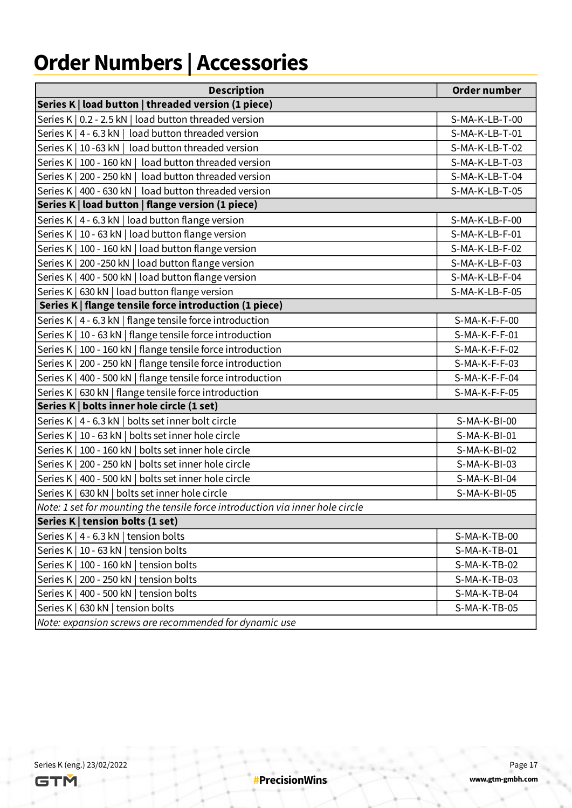# **Order Numbers | Accessories**

|                                                        | <b>Description</b>                                                            | Order number   |  |  |
|--------------------------------------------------------|-------------------------------------------------------------------------------|----------------|--|--|
|                                                        | Series K   load button   threaded version (1 piece)                           |                |  |  |
|                                                        | Series K   0.2 - 2.5 kN   load button threaded version                        | S-MA-K-LB-T-00 |  |  |
|                                                        | Series K   4 - 6.3 kN   load button threaded version                          | S-MA-K-LB-T-01 |  |  |
|                                                        | Series K   10 -63 kN   load button threaded version                           | S-MA-K-LB-T-02 |  |  |
|                                                        | Series K   100 - 160 kN   load button threaded version                        | S-MA-K-LB-T-03 |  |  |
|                                                        | Series K   200 - 250 kN   load button threaded version                        | S-MA-K-LB-T-04 |  |  |
|                                                        | Series K   400 - 630 kN   load button threaded version                        | S-MA-K-LB-T-05 |  |  |
|                                                        | Series K   load button   flange version (1 piece)                             |                |  |  |
|                                                        | Series K   4 - 6.3 kN   load button flange version                            | S-MA-K-LB-F-00 |  |  |
|                                                        | Series K   10 - 63 kN   load button flange version                            | S-MA-K-LB-F-01 |  |  |
|                                                        | Series K   100 - 160 kN   load button flange version                          | S-MA-K-LB-F-02 |  |  |
|                                                        | Series K   200 - 250 kN   load button flange version                          | S-MA-K-LB-F-03 |  |  |
|                                                        | Series K   400 - 500 kN   load button flange version                          | S-MA-K-LB-F-04 |  |  |
|                                                        | Series K   630 kN   load button flange version                                | S-MA-K-LB-F-05 |  |  |
|                                                        | Series K   flange tensile force introduction (1 piece)                        |                |  |  |
|                                                        | Series K   4 - 6.3 kN   flange tensile force introduction                     | S-MA-K-F-F-00  |  |  |
|                                                        | Series K   10 - 63 kN   flange tensile force introduction                     | S-MA-K-F-F-01  |  |  |
|                                                        | Series K   100 - 160 kN   flange tensile force introduction                   | S-MA-K-F-F-02  |  |  |
|                                                        | Series K   200 - 250 kN   flange tensile force introduction                   | S-MA-K-F-F-03  |  |  |
|                                                        | Series K   400 - 500 kN   flange tensile force introduction                   | S-MA-K-F-F-04  |  |  |
|                                                        | Series K   630 kN   flange tensile force introduction                         | S-MA-K-F-F-05  |  |  |
|                                                        | Series K   bolts inner hole circle (1 set)                                    |                |  |  |
|                                                        | Series K   4 - 6.3 kN   bolts set inner bolt circle                           | S-MA-K-BI-00   |  |  |
|                                                        | Series K   10 - 63 kN   bolts set inner hole circle                           | S-MA-K-BI-01   |  |  |
|                                                        | Series K   100 - 160 kN   bolts set inner hole circle                         | S-MA-K-BI-02   |  |  |
|                                                        | Series K   200 - 250 kN   bolts set inner hole circle                         | S-MA-K-BI-03   |  |  |
|                                                        | Series K   400 - 500 kN   bolts set inner hole circle                         | S-MA-K-BI-04   |  |  |
|                                                        | Series K   630 kN   bolts set inner hole circle                               | S-MA-K-BI-05   |  |  |
|                                                        | Note: 1 set for mounting the tensile force introduction via inner hole circle |                |  |  |
|                                                        | Series K   tension bolts (1 set)                                              |                |  |  |
|                                                        | Series K   4 - 6.3 kN   tension bolts                                         | S-MA-K-TB-00   |  |  |
|                                                        | Series K   10 - 63 kN   tension bolts                                         | S-MA-K-TB-01   |  |  |
|                                                        | Series K   100 - 160 kN   tension bolts                                       | $S-MA-K-TB-02$ |  |  |
|                                                        | Series K   200 - 250 kN   tension bolts                                       | $S-MA-K-TB-03$ |  |  |
|                                                        | Series K   400 - 500 kN   tension bolts                                       | S-MA-K-TB-04   |  |  |
|                                                        | Series K   630 kN   tension bolts                                             | S-MA-K-TB-05   |  |  |
| Note: expansion screws are recommended for dynamic use |                                                                               |                |  |  |